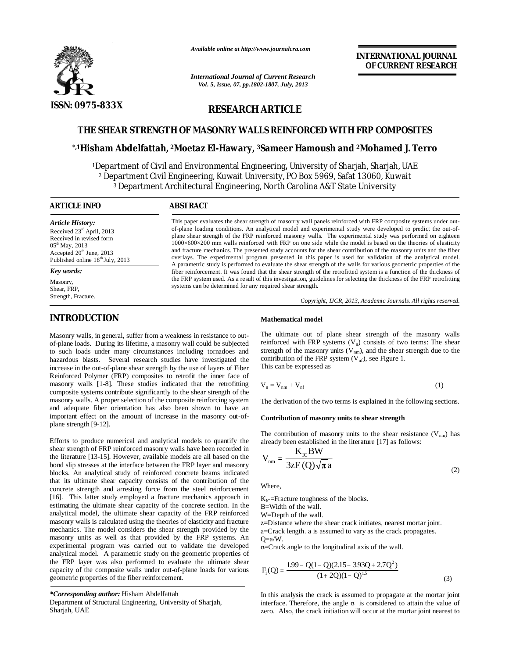

*Available online at http://www.journalcra.com*

*International Journal of Current Research Vol. 5, Issue, 07, pp.1802-1807, July, 2013*

# **INTERNATIONAL JOURNAL OF CURRENT RESEARCH**

# **RESEARCH ARTICLE**

# **THE SHEAR STRENGTH OF MASONRY WALLS REINFORCED WITH FRP COMPOSITES**

# **\*,1Hisham Abdelfattah, 2Moetaz El-Hawary, 3Sameer Hamoush and 2Mohamed J. Terro**

<sup>1</sup>Department of Civil and Environmental Engineering**,** University of Sharjah, Sharjah, UAE <sup>2</sup> Department Civil Engineering, Kuwait University, PO Box 5969, Safat 13060, Kuwait <sup>3</sup> Department Architectural Engineering, North Carolina A&T State University

| <b>ABSTRACT</b>                                                                                                                                                                                                                                                                                                                                                                                                                                                                                                                                                                                                                                                                                                                                                                                                                       |
|---------------------------------------------------------------------------------------------------------------------------------------------------------------------------------------------------------------------------------------------------------------------------------------------------------------------------------------------------------------------------------------------------------------------------------------------------------------------------------------------------------------------------------------------------------------------------------------------------------------------------------------------------------------------------------------------------------------------------------------------------------------------------------------------------------------------------------------|
| This paper evaluates the shear strength of masonry wall panels reinforced with FRP composite systems under out-<br>of-plane loading conditions. An analytical model and experimental study were developed to predict the out-of-<br>plane shear strength of the FRP reinforced masonry walls. The experimental study was performed on eighteen<br>$1000\times600\times200$ mm walls reinforced with FRP on one side while the model is based on the theories of elasticity<br>and fracture mechanics. The presented study accounts for the shear contribution of the masonry units and the fiber<br>overlays. The experimental program presented in this paper is used for validation of the analytical model.<br>A parametric study is performed to evaluate the shear strength of the walls for various geometric properties of the |
| fiber reinforcement. It was found that the shear strength of the retrofitted system is a function of the thickness of                                                                                                                                                                                                                                                                                                                                                                                                                                                                                                                                                                                                                                                                                                                 |
| the FRP system used. As a result of this investigation, guidelines for selecting the thickness of the FRP retrofitting<br>systems can be determined for any required shear strength.<br>Copyright, IJCR, 2013, Academic Journals. All rights reserved.                                                                                                                                                                                                                                                                                                                                                                                                                                                                                                                                                                                |
|                                                                                                                                                                                                                                                                                                                                                                                                                                                                                                                                                                                                                                                                                                                                                                                                                                       |

# **INTRODUCTION**

Masonry walls, in general, suffer from a weakness in resistance to outof-plane loads. During its lifetime, a masonry wall could be subjected to such loads under many circumstances including tornadoes and hazardous blasts. Several research studies have investigated the increase in the out-of-plane shear strength by the use of layers of Fiber Reinforced Polymer (FRP) composites to retrofit the inner face of masonry walls [1-8]. These studies indicated that the retrofitting composite systems contribute significantly to the shear strength of the masonry walls. A proper selection of the composite reinforcing system and adequate fiber orientation has also been shown to have an important effect on the amount of increase in the masonry out-ofplane strength [9-12].

Efforts to produce numerical and analytical models to quantify the shear strength of FRP reinforced masonry walls have been recorded in the literature [13-15]. However, available models are all based on the bond slip stresses at the interface between the FRP layer and masonry blocks. An analytical study of reinforced concrete beams indicated that its ultimate shear capacity consists of the contribution of the concrete strength and arresting force from the steel reinforcement [16]. This latter study employed a fracture mechanics approach in estimating the ultimate shear capacity of the concrete section. In the analytical model, the ultimate shear capacity of the FRP reinforced masonry walls is calculated using the theories of elasticity and fracture mechanics. The model considers the shear strength provided by the masonry units as well as that provided by the FRP systems. An experimental program was carried out to validate the developed analytical model. A parametric study on the geometric properties of the FRP layer was also performed to evaluate the ultimate shear capacity of the composite walls under out-of-plane loads for various geometric properties of the fiber reinforcement.

*\*Corresponding author:* Hisham Abdelfattah

## **Mathematical model**

The ultimate out of plane shear strength of the masonry walls reinforced with FRP systems  $(V_n)$  consists of two terms: The shear strength of the masonry units  $(V_{nm})$ , and the shear strength due to the contribution of the FRP system  $(V_{nf})$ , see Figure 1. This can be expressed as

$$
V_n = V_{nm} + V_{nf}
$$
 (1)

The derivation of the two terms is explained in the following sections.

#### **Contribution of masonry units to shear strength**

The contribution of masonry units to the shear resistance  $(V_{nm})$  has already been established in the literature [17] as follows:

$$
V_{nm} = \frac{K_{IC}BW}{3zF_1(Q)\sqrt{\pi}a}
$$
 (2)

Where,

K<sub>IC</sub>=Fracture toughness of the blocks.

B=Width of the wall.

W=Depth of the wall.

z=Distance where the shear crack initiates, nearest mortar joint. a=Crack length. a is assumed to vary as the crack propagates.

 $O=a/W$ .

α=Crack angle to the longitudinal axis of the wall.

$$
F_1(Q) = \frac{1.99 - Q(1 - Q)(2.15 - 3.93Q + 2.7Q^2)}{(1 + 2Q)(1 - Q)^{1.5}}
$$
(3)

In this analysis the crack is assumed to propagate at the mortar joint interface. Therefore, the angle  $\alpha$  is considered to attain the value of zero. Also, the crack initiation will occur at the mortar joint nearest to

Department of Structural Engineering, University of Sharjah, Sharjah, UAE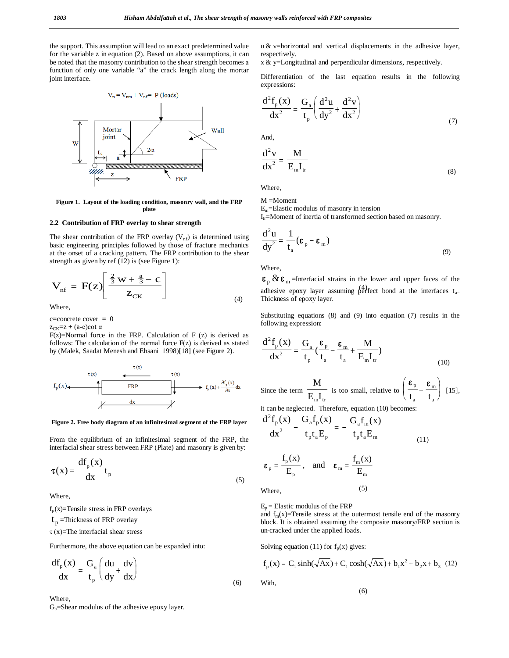the support. This assumption will lead to an exact predetermined value for the variable z in equation (2). Based on above assumptions, it can be noted that the masonry contribution to the shear strength becomes a function of only one variable "a" the crack length along the mortar joint interface.



**Figure 1. Layout of the loading condition, masonry wall, and the FRP plate**

### **2.2 Contribution of FRP overlay to shear strength**

The shear contribution of the FRP overlay  $(V_{nf})$  is determined using basic engineering principles followed by those of fracture mechanics at the onset of a cracking pattern. The FRP contribution to the shear strength as given by ref (12) is (see Figure 1):

$$
V_{\rm nf} = F(z) \left[ \frac{\frac{2}{3}w + \frac{a}{3} - c}{z_{\rm CK}} \right]
$$
 (4)

Where,

 $c=concrete cover = 0$ 

 $z_{CK}=z + (a-c) \cot \alpha$ 

 $F(z)$ =Normal force in the FRP. Calculation of F (z) is derived as follows: The calculation of the normal force  $F(z)$  is derived as stated by (Malek, Saadat Menesh and Ehsani 1998)[18] (see Figure 2).



#### **Figure 2. Free body diagram of an infinitesimal segment of the FRP layer**

From the equilibrium of an infinitesimal segment of the FRP, the interfacial shear stress between FRP (Plate) and masonry is given by:

$$
\tau(x) = \frac{df_p(x)}{dx} t_p
$$
 (5)

Where,

 $f_p(x)$ =Tensile stress in FRP overlays

t<sub>p</sub> =Thickness of FRP overlay

 $\tau$ (x)=The interfacial shear stress

Furthermore, the above equation can be expanded into:

$$
\frac{df_p(x)}{dx} = \frac{G_a}{t_p} \left( \frac{du}{dy} + \frac{dv}{dx} \right)
$$
\n(6)

Where,

Ga=Shear modulus of the adhesive epoxy layer.

u & v=horizontal and vertical displacements in the adhesive layer, respectively.

x & y=Longitudinal and perpendicular dimensions, respectively.

Differentiation of the last equation results in the following expressions:

$$
\frac{d^2 f_p(x)}{dx^2} = \frac{G_a}{t_p} \left( \frac{d^2 u}{dy^2} + \frac{d^2 v}{dx^2} \right)
$$
\n(7)

And,

$$
\frac{d^2v}{dx^2} = \frac{M}{E_m I_{tr}}\tag{8}
$$

Where,

 $M =$ Moment

 $E_m$ =Elastic modulus of masonry in tension

 $I_{tr}$ =Moment of inertia of transformed section based on masonry.

$$
\frac{d^2 u}{dy^2} = \frac{1}{t_a} (\varepsilon_p - \varepsilon_m)
$$
\n(9)

Where,

 $\overline{a}$ 

adhesive epoxy layer assuming perfect bond at the interfaces  $t_{a=}$  $\epsilon_{\rm n} \& \epsilon_{\rm m}$  =Interfacial strains in the lower and upper faces of the Thickness of epoxy layer.

Substituting equations (8) and (9) into equation (7) results in the following expression:

$$
\frac{d^2 f_p(x)}{dx^2} = \frac{G_a}{t_p} \left(\frac{\varepsilon_p}{t_a} - \frac{\varepsilon_m}{t_a} + \frac{M}{E_m I_w}\right)
$$
\n(10)

Since the term 
$$
\frac{M}{E_m I_w}
$$
 is too small, relative to  $\left(\frac{\epsilon_p}{t_a} - \frac{\epsilon_m}{t_a}\right)$  [15],

it can be neglected. Therefore, equation (10) becomes:

$$
\frac{d^2 f_p(x)}{dx^2} - \frac{G_a f_p(x)}{t_p t_a E_p} = -\frac{G_a f_m(x)}{t_p t_a E_m}
$$
\n(11)

$$
\varepsilon_{\rm p} = \frac{f_{\rm p}(x)}{E_{\rm p}}, \quad \text{and} \quad \varepsilon_{\rm m} = \frac{f_{\rm m}(x)}{E_{\rm m}}
$$

Where,

With,

 $E_p$  = Elastic modulus of the FRP

and  $f_m(x)$ =Tensile stress at the outermost tensile end of the masonry block. It is obtained assuming the composite masonry/FRP section is un-cracked under the applied loads.

Solving equation (11) for  $f_p(x)$  gives:

$$
f_p(x) = C_1 \sinh(\sqrt{Ax}) + C_1 \cosh(\sqrt{Ax}) + b_1 x^2 + b_2 x + b_3
$$
 (12)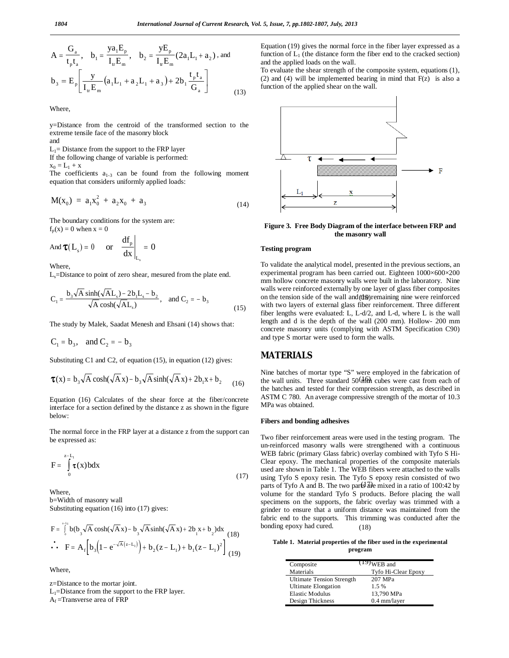$$
A = \frac{G_a}{t_p t_a}, \quad b_1 = \frac{y a_1 E_p}{I_w E_m}, \quad b_2 = \frac{y E_p}{I_w E_m} (2 a_1 L_1 + a_2), \text{ and}
$$

$$
b_3 = E_p \left[ \frac{y}{I_w E_m} (a_1 L_1 + a_2 L_1 + a_3) + 2 b_1 \frac{t_p t_a}{G_a} \right]
$$
(13)

Where,

y=Distance from the centroid of the transformed section to the extreme tensile face of the masonry block

and

 $L_1$ = Distance from the support to the FRP layer If the following change of variable is performed:

 $x_0 = L_1 + x$ 

The coefficients  $a_{1-3}$  can be found from the following moment equation that considers uniformly applied loads:

$$
M(x_0) = a_1 x_0^2 + a_2 x_0 + a_3 \tag{14}
$$

The boundary conditions for the system are:  $f_p(x) = 0$  when  $x = 0$ 

And  $\tau(L_s) = 0$  or  $\frac{df_p}{dx}$  =  $dx$  s<sup> $y - \theta$ </sup> dx p  $L_{\rm s}$ 0

**Where** 

 $L<sub>s</sub>=$ Distance to point of zero shear, mesured from the plate end.

$$
C_1 = \frac{b_3 \sqrt{A} \sinh(\sqrt{A}L_s) - 2b_1 L_s - b_2}{\sqrt{A} \cosh(\sqrt{A}L_s)}, \text{ and } C_2 = -b_3
$$
 (15)

The study by Malek, Saadat Menesh and Ehsani (14) shows that:

 $C_1 = b_3$ , and  $C_2 = -b_3$ 

Substituting C1 and C2, of equation (15), in equation (12) gives:

$$
\tau(x) = b_3 \sqrt{A} \cosh(\sqrt{A} x) - b_3 \sqrt{A} \sinh(\sqrt{A} x) + 2b_1 x + b_2
$$
 (16)

Equation (16) Calculates of the shear force at the fiber/concrete interface for a section defined by the distance z as shown in the figure below:

The normal force in the FRP layer at a distance z from the support can be expressed as:

$$
F = \int_{0}^{z - L_1} \tau(x) b dx
$$
 (17)

Where, b=Width of masonry wall Substituting equation (16) into (17) gives:

$$
F = \int_{0}^{x_{-1}} b(b_3 \sqrt{A} \cosh(\sqrt{A} x) - b_3 \sqrt{A} \sinh(\sqrt{A} x) + 2b_1 x + b_2) dx
$$
  
 
$$
\therefore F = A_f \left[ b_3 \left( 1 - e^{-\sqrt{A}(z - L_1)} \right) + b_2 (z - L_1) + b_1 (z - L_1)^2 \right] (19)
$$

Where,

z=Distance to the mortar joint.  $L_1$ =Distance from the support to the FRP layer. Af =Transverse area of FRP

Equation (19) gives the normal force in the fiber layer expressed as a function of  $L_1$  (the distance form the fiber end to the cracked section) and the applied loads on the wall.

To evaluate the shear strength of the composite system, equations (1), (2) and (4) will be implemented bearing in mind that  $F(z)$  is also a function of the applied shear on the wall.



**Figure 3. Free Body Diagram of the interface between FRP and the masonry wall**

### **Testing program**

on the tension side of the wall and (the remaining nine were reinforced To validate the analytical model, presented in the previous sections, an experimental program has been carried out. Eighteen 1000×600×200 mm hollow concrete masonry walls were built in the laboratory. Nine walls were reinforced externally by one layer of glass fiber composites with two layers of external glass fiber reinforcement. Three different fiber lengths were evaluated: L, L-d/2, and L-d, where L is the wall length and d is the depth of the wall (200 mm). Hollow- 200 mm concrete masonry units (complying with ASTM Specification C90) and type S mortar were used to form the walls.

# **MATERIALS**

(16) the wall units. Three standard  $50(h/m)$  cubes were cast from each of Nine batches of mortar type "S" were employed in the fabrication of the batches and tested for their compression strength, as described in ASTM C 780. An average compressive strength of the mortar of 10.3 MPa was obtained.

#### **Fibers and bonding adhesives**

parts of Tyfo A and B. The two parts are mixed in a ratio of 100:42 by (18) Two fiber reinforcement areas were used in the testing program. The un-reinforced masonry walls were strengthened with a continuous WEB fabric (primary Glass fabric) overlay combined with Tyfo S Hi-Clear epoxy. The mechanical properties of the composite materials used are shown in Table 1. The WEB fibers were attached to the walls using Tyfo S epoxy resin. The Tyfo S epoxy resin consisted of two volume for the standard Tyfo S products. Before placing the wall specimens on the supports, the fabric overlay was trimmed with a grinder to ensure that a uniform distance was maintained from the fabric end to the supports. This trimming was conducted after the bonding epoxy had cured.

**Table 1. Material properties of the fiber used in the experimental program**

| Composite                        | $(19)$ WEB and      |
|----------------------------------|---------------------|
| Materials                        | Tyfo Hi-Clear Epoxy |
| <b>Ultimate Tension Strength</b> | 207 MPa             |
| <b>Ultimate Elongation</b>       | $1.5\%$             |
| <b>Elastic Modulus</b>           | 13,790 MPa          |
| Design Thickness                 | 0.4 mm/layer        |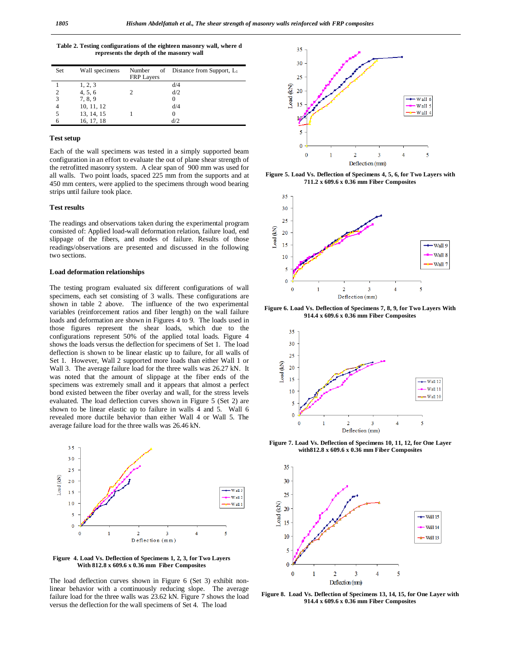**Table 2. Testing configurations of the eighteen masonry wall, where d represents the depth of the masonry wall**

| Set | Wall specimens | Number<br><b>FRP Layers</b> | of Distance from Support, $L_1$ |
|-----|----------------|-----------------------------|---------------------------------|
|     | 1, 2, 3        |                             | d/4                             |
| 2   | 4, 5, 6        |                             | d/2                             |
| 3   | 7, 8, 9        |                             |                                 |
| 4   | 10, 11, 12     |                             | d/4                             |
| 5   | 13, 14, 15     |                             |                                 |
| 6   | 16, 17, 18     |                             | d/2                             |

### **Test setup**

Each of the wall specimens was tested in a simply supported beam configuration in an effort to evaluate the out of plane shear strength of the retrofitted masonry system. A clear span of 900 mm was used for all walls. Two point loads, spaced 225 mm from the supports and at 450 mm centers, were applied to the specimens through wood bearing strips until failure took place.

#### **Test results**

The readings and observations taken during the experimental program consisted of: Applied load-wall deformation relation, failure load, end slippage of the fibers, and modes of failure. Results of those readings/observations are presented and discussed in the following two sections.

### **Load deformation relationships**

The testing program evaluated six different configurations of wall specimens, each set consisting of 3 walls. These configurations are shown in table 2 above. The influence of the two experimental variables (reinforcement ratios and fiber length) on the wall failure loads and deformation are shown in Figures 4 to 9. The loads used in those figures represent the shear loads, which due to the configurations represent 50% of the applied total loads. Figure 4 shows the loads versus the deflection for specimens of Set 1. The load deflection is shown to be linear elastic up to failure, for all walls of Set 1. However, Wall 2 supported more loads than either Wall 1 or Wall 3. The average failure load for the three walls was 26.27 kN. It was noted that the amount of slippage at the fiber ends of the specimens was extremely small and it appears that almost a perfect bond existed between the fiber overlay and wall, for the stress levels evaluated. The load deflection curves shown in Figure 5 (Set 2) are shown to be linear elastic up to failure in walls 4 and 5. Wall 6 revealed more ductile behavior than either Wall 4 or Wall 5. The average failure load for the three walls was 26.46 kN.



**Figure 4. Load Vs. Deflection of Specimens 1, 2, 3, for Two Layers With 812.8 x 609.6 x 0.36 mm Fiber Composites**

The load deflection curves shown in Figure 6 (Set 3) exhibit nonlinear behavior with a continuously reducing slope. The average failure load for the three walls was 23.62 kN. Figure 7 shows the load versus the deflection for the wall specimens of Set 4. The load



**Figure 5. Load Vs. Deflection of Specimens 4, 5, 6, for Two Layers with 711.2 x 609.6 x 0.36 mm Fiber Composites**



**Figure 6. Load Vs. Deflection of Specimens 7, 8, 9, for Two Layers With 914.4 x 609.6 x 0.36 mm Fiber Composites**



**Figure 7. Load Vs. Deflection of Specimens 10, 11, 12, for One Layer with812.8 x 609.6 x 0.36 mm Fiber Composites**



**Figure 8. Load Vs. Deflection of Specimens 13, 14, 15, for One Layer with 914.4 x 609.6 x 0.36 mm Fiber Composites**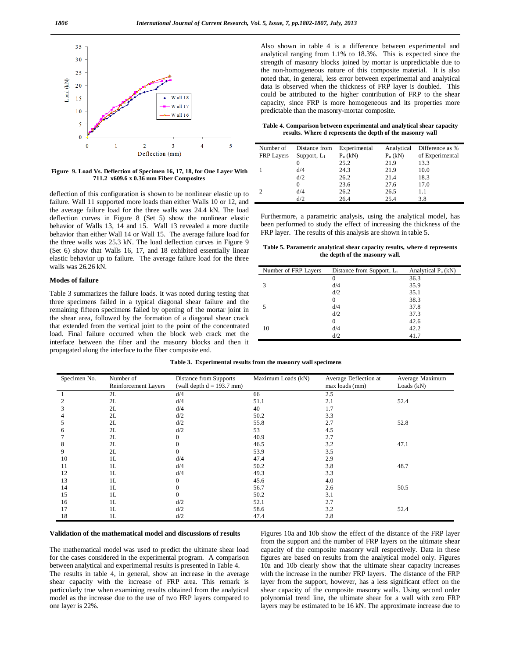

**Figure 9. Load Vs. Deflection of Specimen 16, 17, 18, for One Layer With 711.2 x609.6 x 0.36 mm Fiber Composites**

deflection of this configuration is shown to be nonlinear elastic up to failure. Wall 11 supported more loads than either Walls 10 or 12, and the average failure load for the three walls was 24.4 kN. The load deflection curves in Figure 8 (Set 5) show the nonlinear elastic behavior of Walls 13, 14 and 15. Wall 13 revealed a more ductile behavior than either Wall 14 or Wall 15. The average failure load for the three walls was 25.3 kN. The load deflection curves in Figure 9 (Set 6) show that Walls 16, 17, and 18 exhibited essentially linear elastic behavior up to failure. The average failure load for the three walls was 26.26 kN.

#### **Modes of failure**

Table 3 summarizes the failure loads. It was noted during testing that three specimens failed in a typical diagonal shear failure and the remaining fifteen specimens failed by opening of the mortar joint in the shear area, followed by the formation of a diagonal shear crack that extended from the vertical joint to the point of the concentrated load. Final failure occurred when the block web crack met the interface between the fiber and the masonry blocks and then it propagated along the interface to the fiber composite end.

Also shown in table 4 is a difference between experimental and analytical ranging from 1.1% to 18.3%. This is expected since the strength of masonry blocks joined by mortar is unpredictable due to the non-homogeneous nature of this composite material. It is also noted that, in general, less error between experimental and analytical data is observed when the thickness of FRP layer is doubled. This could be attributed to the higher contribution of FRP to the shear capacity, since FRP is more homogeneous and its properties more predictable than the masonry-mortar composite.

**Table 4. Comparison between experimental and analytical shear capacity results. Where d represents the depth of the masonry wall**

| Number of<br><b>FRP Layers</b> | Distance from<br>Support, $L_1$ | Experimental<br>$P_u(kN)$ | Analytical<br>$P_u(kN)$ | Difference as %<br>of Experimental |
|--------------------------------|---------------------------------|---------------------------|-------------------------|------------------------------------|
|                                |                                 | 25.2                      | 21.9                    | 13.3                               |
|                                | d/4                             | 24.3                      | 21.9                    | 10.0                               |
|                                | d/2                             | 26.2                      | 21.4                    | 18.3                               |
|                                | 0                               | 23.6                      | 27.6                    | 17.0                               |
|                                | d/4                             | 26.2                      | 26.5                    | 1.1                                |
|                                | d/2                             | 26.4                      | 25.4                    | 3.8                                |

Furthermore, a parametric analysis, using the analytical model, has been performed to study the effect of increasing the thickness of the FRP layer. The results of this analysis are shown in table 5.

**Table 5. Parametric analytical shear capacity results, where d represents the depth of the masonry wall.**

| Distance from Support, $L_1$ | Analytical $P_u(kN)$ |
|------------------------------|----------------------|
| 0                            | 36.3                 |
| d/4                          | 35.9                 |
| d/2                          | 35.1                 |
| 0                            | 38.3                 |
| d/4                          | 37.8                 |
| d/2                          | 37.3                 |
| 0                            | 42.6                 |
| d/4                          | 42.2                 |
| d/2                          | 41.7                 |
|                              |                      |

| Specimen No. | Number of<br>Reinforcement Layers | Distance from Supports<br>(wall depth $d = 193.7$ mm) | Maximum Loads (kN) | Average Deflection at<br>max loads (mm) | Average Maximum<br>Loads $(kN)$ |
|--------------|-----------------------------------|-------------------------------------------------------|--------------------|-----------------------------------------|---------------------------------|
| $\perp$      | 2L                                | d/4                                                   | 66                 | 2.5                                     |                                 |
| 2            | 2L                                | d/4                                                   | 51.1               | 2.1                                     | 52.4                            |
| 3            | 2L                                | d/4                                                   | 40                 | 1.7                                     |                                 |
| 4            | 2L                                | d/2                                                   | 50.2               | 3.3                                     |                                 |
| 5            | 2L                                | d/2                                                   | 55.8               | 2.7                                     | 52.8                            |
| 6            | 2L                                | d/2                                                   | 53                 | 4.5                                     |                                 |
|              | 2L                                | $\mathbf{0}$                                          | 40.9               | 2.7                                     |                                 |
| 8            | 2L                                | $\mathbf{0}$                                          | 46.5               | 3.2                                     | 47.1                            |
| 9            | 2L                                | $\Omega$                                              | 53.9               | 3.5                                     |                                 |
| 10           | 1L                                | d/4                                                   | 47.4               | 2.9                                     |                                 |
| 11           | 1L                                | d/4                                                   | 50.2               | 3.8                                     | 48.7                            |
| 12           | 1L                                | d/4                                                   | 49.3               | 3.3                                     |                                 |
| 13           | 1L                                | $\mathbf{0}$                                          | 45.6               | 4.0                                     |                                 |
| 14           | 1L                                | $\Omega$                                              | 56.7               | 2.6                                     | 50.5                            |
| 15           | 1L                                | $\Omega$                                              | 50.2               | 3.1                                     |                                 |
| 16           | 1L                                | d/2                                                   | 52.1               | 2.7                                     |                                 |
| 17           | 1L                                | d/2                                                   | 58.6               | 3.2                                     | 52.4                            |
| 18           | 1L                                | d/2                                                   | 47.4               | 2.8                                     |                                 |

**Table 3. Experimental results from the masonry wall specimens**

### **Validation of the mathematical model and discussions of results**

The mathematical model was used to predict the ultimate shear load for the cases considered in the experimental program. A comparison between analytical and experimental results is presented in Table 4.

The results in table 4, in general, show an increase in the average shear capacity with the increase of FRP area. This remark is particularly true when examining results obtained from the analytical model as the increase due to the use of two FRP layers compared to one layer is 22%.

Figures 10a and 10b show the effect of the distance of the FRP layer from the support and the number of FRP layers on the ultimate shear capacity of the composite masonry wall respectively. Data in these figures are based on results from the analytical model only. Figures 10a and 10b clearly show that the ultimate shear capacity increases with the increase in the number FRP layers. The distance of the FRP layer from the support, however, has a less significant effect on the shear capacity of the composite masonry walls. Using second order polynomial trend line, the ultimate shear for a wall with zero FRP layers may be estimated to be 16 kN. The approximate increase due to